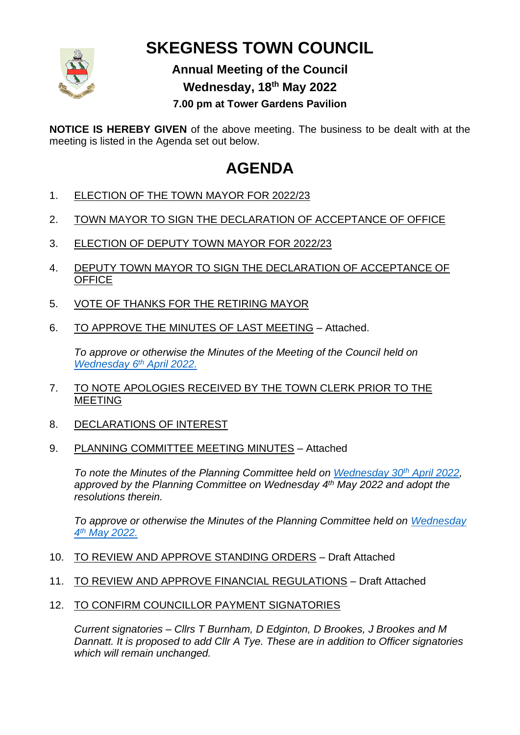

## **SKEGNESS TOWN COUNCIL**

## **Annual Meeting of the Council Wednesday, 18th May 2022**

**7.00 pm at Tower Gardens Pavilion**

**NOTICE IS HEREBY GIVEN** of the above meeting. The business to be dealt with at the meeting is listed in the Agenda set out below.

## **AGENDA**

- 1. ELECTION OF THE TOWN MAYOR FOR 2022/23
- 2. TOWN MAYOR TO SIGN THE DECLARATION OF ACCEPTANCE OF OFFICE
- 3. ELECTION OF DEPUTY TOWN MAYOR FOR 2022/23
- 4. DEPUTY TOWN MAYOR TO SIGN THE DECLARATION OF ACCEPTANCE OF **OFFICE**
- 5. VOTE OF THANKS FOR THE RETIRING MAYOR
- 6. TO APPROVE THE MINUTES OF LAST MEETING Attached.

*To approve or otherwise the Minutes of the Meeting of the Council held on [Wednesday](https://www.skegness.gov.uk/uploads/minsdraft-council-2022-04-06.pdf?v=1651656761) 6 th April 2022.*

- 7. TO NOTE APOLOGIES RECEIVED BY THE TOWN CLERK PRIOR TO THE MEETING
- 8. DECLARATIONS OF INTEREST
- 9. PLANNING COMMITTEE MEETING MINUTES Attached

*To note the Minutes of the Planning Committee held on [Wednesday 30](https://www.skegness.gov.uk/uploads/minsdraft-planning-pp-2022-03-30.pdf?v=1649841541)th April 2022, approved by the Planning Committee on Wednesday 4 th May 2022 and adopt the resolutions therein.*

*To approve or otherwise the Minutes of the Planning Committee held on [Wednesday](https://www.skegness.gov.uk/uploads/minsdraft-planning-pp-2022-05-04.pdf?v=1652108295)  4 th [May 2022.](https://www.skegness.gov.uk/uploads/minsdraft-planning-pp-2022-05-04.pdf?v=1652108295)*

- 10. TO REVIEW AND APPROVE STANDING ORDERS Draft Attached
- 11. TO REVIEW AND APPROVE FINANCIAL REGULATIONS Draft Attached
- 12. TO CONFIRM COUNCILLOR PAYMENT SIGNATORIES

*Current signatories – Cllrs T Burnham, D Edginton, D Brookes, J Brookes and M Dannatt. It is proposed to add Cllr A Tye. These are in addition to Officer signatories which will remain unchanged.*